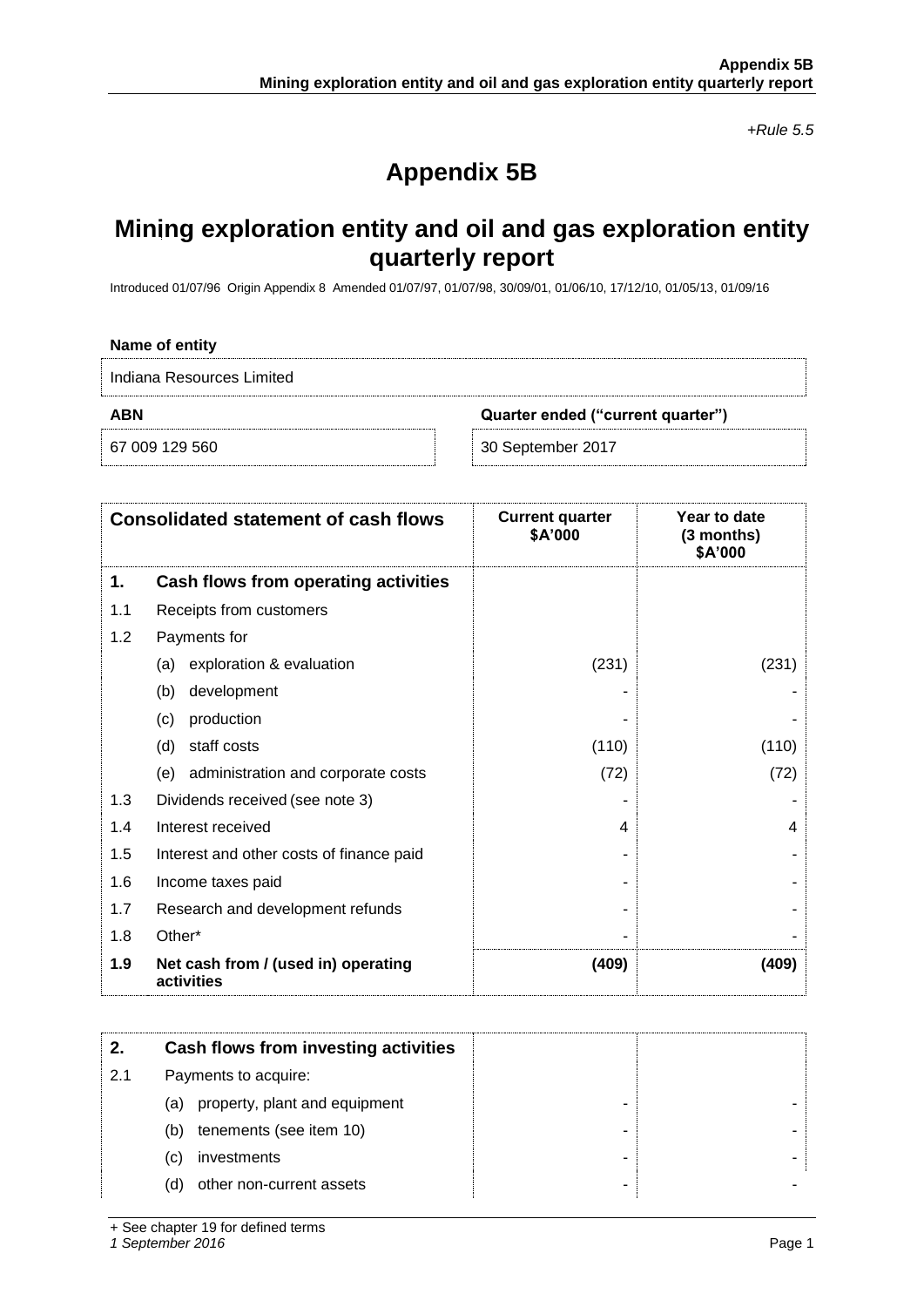*+Rule 5.5*

## **Appendix 5B**

## **Mining exploration entity and oil and gas exploration entity quarterly report**

Introduced 01/07/96 Origin Appendix 8 Amended 01/07/97, 01/07/98, 30/09/01, 01/06/10, 17/12/10, 01/05/13, 01/09/16

| Name of entity                                  |                   |  |  |
|-------------------------------------------------|-------------------|--|--|
| Indiana Resources Limited                       |                   |  |  |
| <b>ABN</b><br>Quarter ended ("current quarter") |                   |  |  |
| 67 009 129 560                                  | 30 September 2017 |  |  |

|     | <b>Consolidated statement of cash flows</b>       | <b>Current quarter</b><br>\$A'000 | Year to date<br>$(3$ months)<br>\$A'000 |
|-----|---------------------------------------------------|-----------------------------------|-----------------------------------------|
| 1.  | Cash flows from operating activities              |                                   |                                         |
| 1.1 | Receipts from customers                           |                                   |                                         |
| 1.2 | Payments for                                      |                                   |                                         |
|     | exploration & evaluation<br>(a)                   | (231)                             | (231)                                   |
|     | development<br>(b)                                |                                   |                                         |
|     | production<br>(c)                                 |                                   |                                         |
|     | staff costs<br>(d)                                | (110)                             | (110)                                   |
|     | administration and corporate costs<br>(e)         | (72)                              | (72)                                    |
| 1.3 | Dividends received (see note 3)                   |                                   |                                         |
| 1.4 | Interest received                                 | 4                                 | 4                                       |
| 1.5 | Interest and other costs of finance paid          |                                   |                                         |
| 1.6 | Income taxes paid                                 |                                   |                                         |
| 1.7 | Research and development refunds                  |                                   |                                         |
| 1.8 | Other*                                            |                                   |                                         |
| 1.9 | Net cash from / (used in) operating<br>activities | (409)                             | (409)                                   |

|     | Cash flows from investing activities |  |
|-----|--------------------------------------|--|
| 2.1 | Payments to acquire:                 |  |
|     | property, plant and equipment<br>(a) |  |
|     | tenements (see item 10)<br>(b)       |  |
|     | investments<br>(C)                   |  |
|     | other non-current assets<br>(d)      |  |

+ See chapter 19 for defined terms

*1 September 2016* Page 1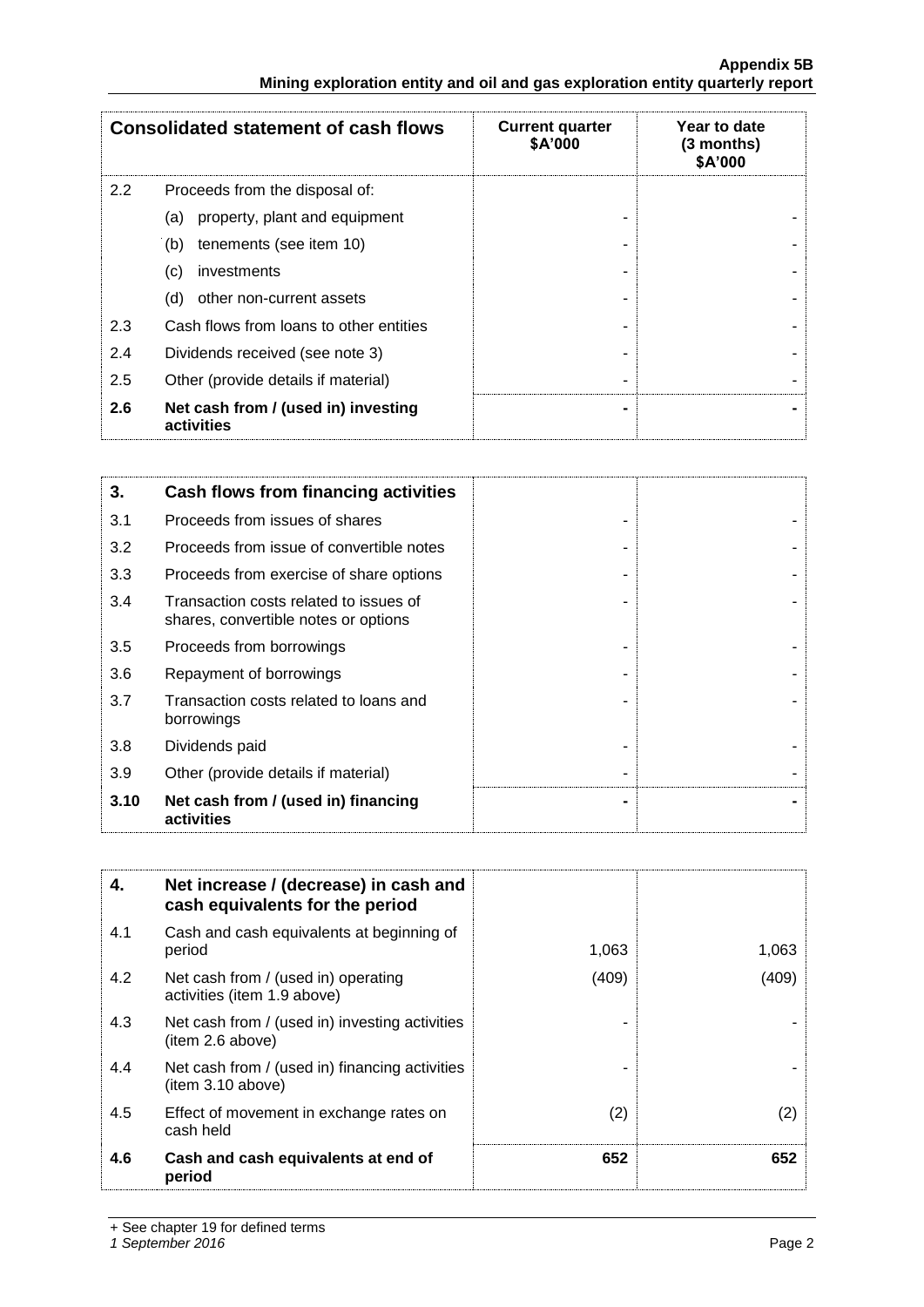|     | <b>Consolidated statement of cash flows</b>       | <b>Current quarter</b><br>\$A'000 | Year to date<br>$(3$ months)<br>\$A'000 |
|-----|---------------------------------------------------|-----------------------------------|-----------------------------------------|
| 2.2 | Proceeds from the disposal of:                    |                                   |                                         |
|     | property, plant and equipment<br>(a)              |                                   |                                         |
|     | tenements (see item 10)<br>(b)                    |                                   |                                         |
|     | investments<br>(C)                                |                                   |                                         |
|     | other non-current assets<br>(d)                   |                                   |                                         |
| 2.3 | Cash flows from loans to other entities           |                                   |                                         |
| 2.4 | Dividends received (see note 3)                   |                                   |                                         |
| 2.5 | Other (provide details if material)               |                                   |                                         |
| 2.6 | Net cash from / (used in) investing<br>activities |                                   |                                         |

| 3.   | Cash flows from financing activities                                           |  |
|------|--------------------------------------------------------------------------------|--|
| 3.1  | Proceeds from issues of shares                                                 |  |
| 3.2  | Proceeds from issue of convertible notes                                       |  |
| 3.3  | Proceeds from exercise of share options                                        |  |
| 3.4  | Transaction costs related to issues of<br>shares, convertible notes or options |  |
| 3.5  | Proceeds from borrowings                                                       |  |
| 3.6  | Repayment of borrowings                                                        |  |
| 3.7  | Transaction costs related to loans and<br>borrowings                           |  |
| 3.8  | Dividends paid                                                                 |  |
| 3.9  | Other (provide details if material)                                            |  |
| 3.10 | Net cash from / (used in) financing<br>activities                              |  |

| 4.  | Net increase / (decrease) in cash and<br>cash equivalents for the period |       |       |
|-----|--------------------------------------------------------------------------|-------|-------|
| 4.1 | Cash and cash equivalents at beginning of<br>period                      | 1,063 | 1,063 |
| 4.2 | Net cash from / (used in) operating<br>activities (item 1.9 above)       | (409) | (409) |
| 4.3 | Net cash from / (used in) investing activities<br>(item 2.6 above)       |       |       |
| 4.4 | Net cash from / (used in) financing activities<br>(item 3.10 above)      |       |       |
| 4.5 | Effect of movement in exchange rates on<br>cash held                     | (2)   | (2)   |
| 4.6 | Cash and cash equivalents at end of<br>period                            | 652   | 652   |

+ See chapter 19 for defined terms

*1 September 2016* Page 2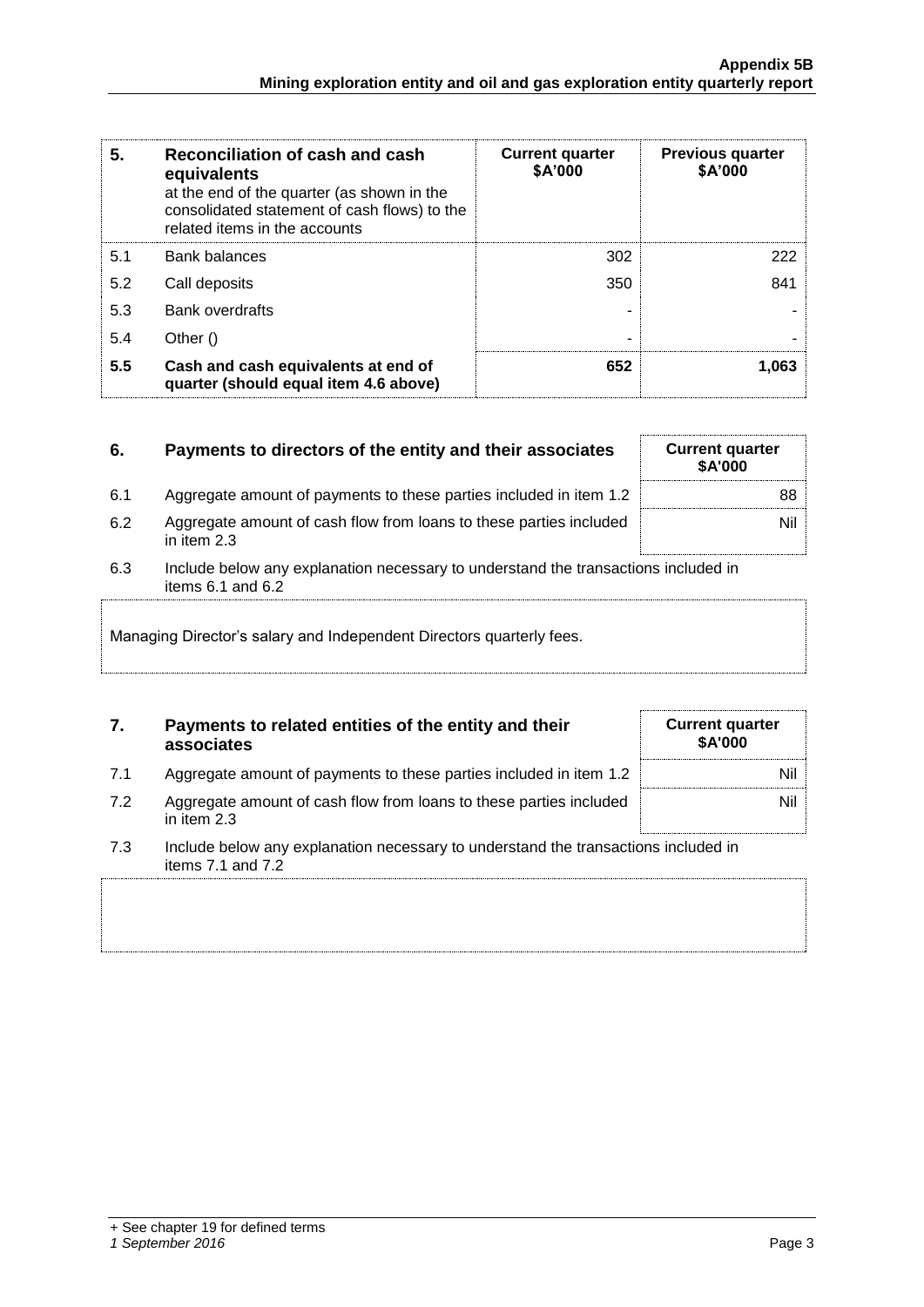| 5.  | Reconciliation of cash and cash<br>equivalents<br>at the end of the quarter (as shown in the<br>consolidated statement of cash flows) to the<br>related items in the accounts | <b>Current quarter</b><br>\$A'000 | <b>Previous quarter</b><br>\$A'000 |
|-----|-------------------------------------------------------------------------------------------------------------------------------------------------------------------------------|-----------------------------------|------------------------------------|
| 5.1 | <b>Bank balances</b>                                                                                                                                                          | 302                               | 222                                |
| 5.2 | Call deposits                                                                                                                                                                 | 350                               | 841                                |
| 5.3 | <b>Bank overdrafts</b>                                                                                                                                                        |                                   |                                    |
| 5.4 | Other ()                                                                                                                                                                      |                                   |                                    |
| 5.5 | Cash and cash equivalents at end of<br>quarter (should equal item 4.6 above)                                                                                                  | 652                               | 1.063                              |

| 6.                                                                                                                 | Payments to directors of the entity and their associates                            | <b>Current quarter</b><br><b>\$A'000</b> |
|--------------------------------------------------------------------------------------------------------------------|-------------------------------------------------------------------------------------|------------------------------------------|
| 6.1                                                                                                                | Aggregate amount of payments to these parties included in item 1.2                  | 88                                       |
| 6.2                                                                                                                | Aggregate amount of cash flow from loans to these parties included<br>in item $2.3$ | Nil                                      |
| 6.3<br>Include below any explanation necessary to understand the transactions included in<br>items $6.1$ and $6.2$ |                                                                                     |                                          |
| Managing Director's salary and Independent Directors quarterly fees.                                               |                                                                                     |                                          |

| Payments to related entities of the entity and their<br>associates | <b>Current quarter</b><br><b>\$A'000</b> |
|--------------------------------------------------------------------|------------------------------------------|

| Aggregate amount of payments to these parties included in item 1.2 |  |
|--------------------------------------------------------------------|--|
|                                                                    |  |
|                                                                    |  |

7.2 Aggregate amount of cash flow from loans to these parties included in item 2.3

| loans to these parties included                  |  |
|--------------------------------------------------|--|
|                                                  |  |
| esary to understand the transactions included in |  |

7.3 Include below any explanation necessary to understand the transactions included in items 7.1 and 7.2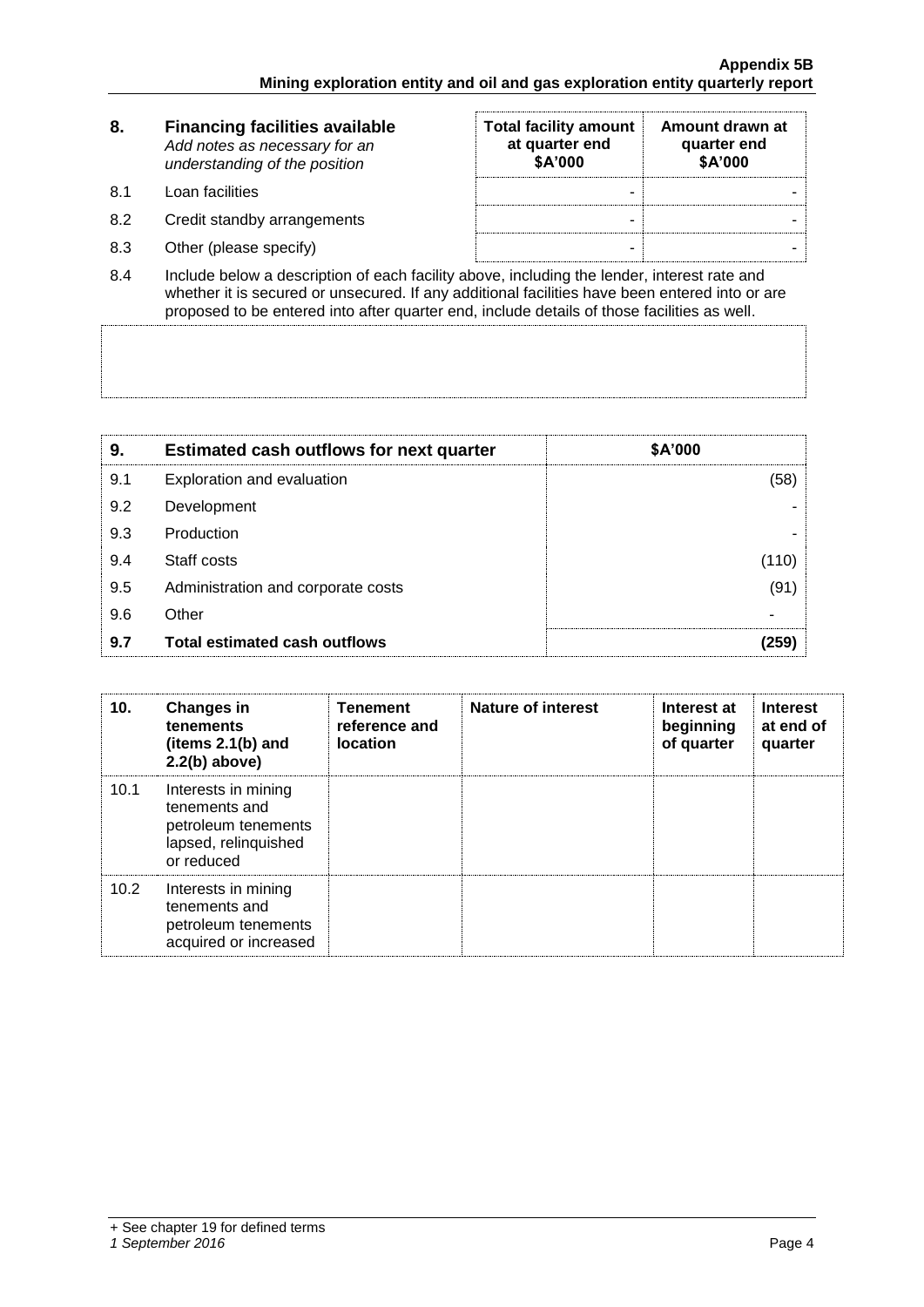| 8.   | <b>Financing facilities available</b><br>Add notes as necessary for an<br>understanding of the position | <b>Total facility amount</b><br>at quarter end<br>\$A'000 | Amount drawn at<br>quarter end<br>\$A'000 |
|------|---------------------------------------------------------------------------------------------------------|-----------------------------------------------------------|-------------------------------------------|
| .8.1 | Loan facilities                                                                                         | -                                                         |                                           |
| 8.2  | Credit standby arrangements                                                                             | -                                                         |                                           |
| 8.3  | Other (please specify)                                                                                  | -                                                         |                                           |

8.4 Include below a description of each facility above, including the lender, interest rate and whether it is secured or unsecured. If any additional facilities have been entered into or are proposed to be entered into after quarter end, include details of those facilities as well.

| 9.  | <b>Estimated cash outflows for next quarter</b> | \$A'000 |
|-----|-------------------------------------------------|---------|
| 9.1 | Exploration and evaluation                      | (58)    |
| 9.2 | Development                                     |         |
| 9.3 | Production                                      |         |
| 9.4 | Staff costs                                     | (110)   |
| 9.5 | Administration and corporate costs              | (91)    |
| 9.6 | Other                                           |         |
| 9.7 | <b>Total estimated cash outflows</b>            | 259)    |

| 10.  | Changes in<br>tenements<br>(items $2.1(b)$ and<br>$2.2(b)$ above)                                 | <b>Tenement</b><br>reference and<br><b>location</b> | Nature of interest | Interest at<br>beginning<br>of quarter | <b>Interest</b><br>at end of<br>quarter |
|------|---------------------------------------------------------------------------------------------------|-----------------------------------------------------|--------------------|----------------------------------------|-----------------------------------------|
| 10.1 | Interests in mining<br>tenements and<br>petroleum tenements<br>lapsed, relinquished<br>or reduced |                                                     |                    |                                        |                                         |
| 10.2 | Interests in mining<br>tenements and<br>petroleum tenements<br>acquired or increased              |                                                     |                    |                                        |                                         |